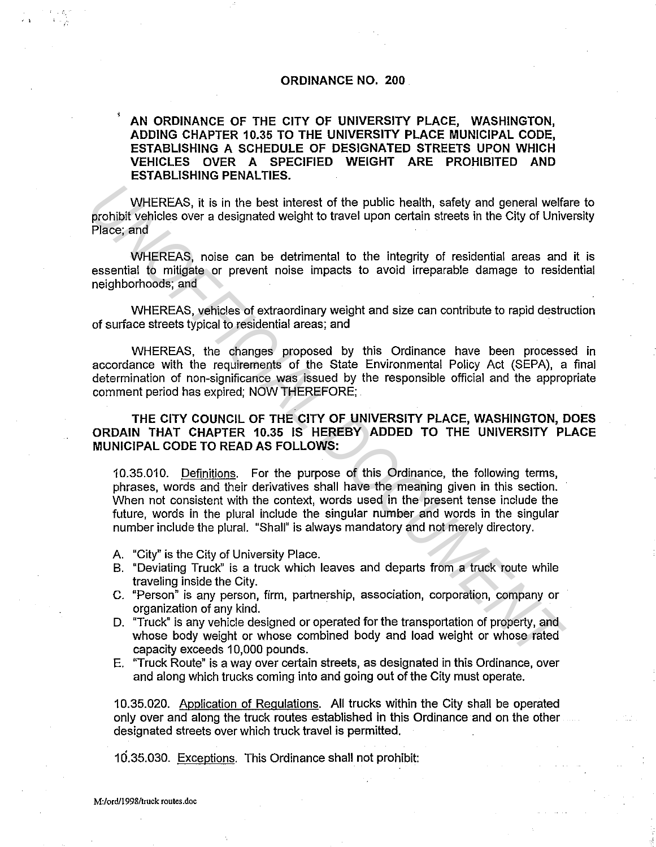## **ORDINANCE NO. 200**

### **AN ORDINANCE OF THE CITY OF UNIVERSITY PLACE, WASHINGTON, ADDING CHAPTER 10.35 TO THE UNIVERSITY PLACE MUNICIPAL CODE, ESTABLISHING A SCHEDULE OF DESIGNATED STREETS UPON WHICH VEHICLES OVER A SPECIFIED WEIGHT ARE PROHIBITED AND ESTABLISHING PENALTIES.**

WHEREAS, it is in the best interest of the public health, safety and general welfare to prohibit vehicles over a designated weight to travel upon certain streets in the City of University Place; and

WHEREAS, noise can be detrimental to the integrity of residential areas and it is essential to mitigate or prevent noise impacts to avoid irreparable damage to residential neighborhoods; and

WHEREAS, vehicles of extraordinary weight and size can contribute to rapid destruction of surface streets typical to residential areas; and

WHEREAS, the changes proposed by this Ordinance have been processed in accordance with the requirements of the State Environmental Policy Act (SEPA), a final determination of non-significance was issued by the responsible official and the appropriate comment period has expired; NOW THEREFORE;

**THE CITY COUNCIL OF THE CITY OF UNIVERSITY PLACE, WASHINGTON, DOES ORDAIN THAT CHAPTER 10.35 IS HEREBY ADDED TO THE UNIVERSITY PLACE MUNICIPAL CODE TO READ AS FOLLOWS:** 

10.35.010. Definitions. For the purpose of this Ordinance, the following terms, phrases, words and their derivatives shall have the meaning given in this section. When not consistent with the context, words used in the present tense include the future, words in the plural include the singular number and words in the singular number include the plural. "Shall" is always mandatory and not merely directory. WHEREAS, it is in the best interest of the public health, safety and general welf<br>prohibit vehicles over a designated weight to travel upon certain streets in the City of Univ<br>Place, and<br>
WHEREAS, noise can be detrimental

A. "City" is the City of University Place.

- B. "Deviating Truck" is a truck which leaves and departs from a truck route while traveling inside the City.
- C. "Person" is any person, firm, partnership, association, corporation, company or organization of any kind.
- D. "Truck" is any vehicle designed or operated for the transportation of property, and whose body weight or whose combined body and load weight or whose rated capacity exceeds 10,000 pounds.
- E. "Truck Route" is a way over certain streets, as designated in this Ordinance, over and along which trucks coming into and going out of the City must operate.

10.35.020. Application of Regulations. All trucks within the City shall be operated only over and along the truck routes established in this Ordinance and on the other designated streets over which truck travel is permitted.

10.35.030. Exceptions. This Ordinance shall not prohibit:

•' i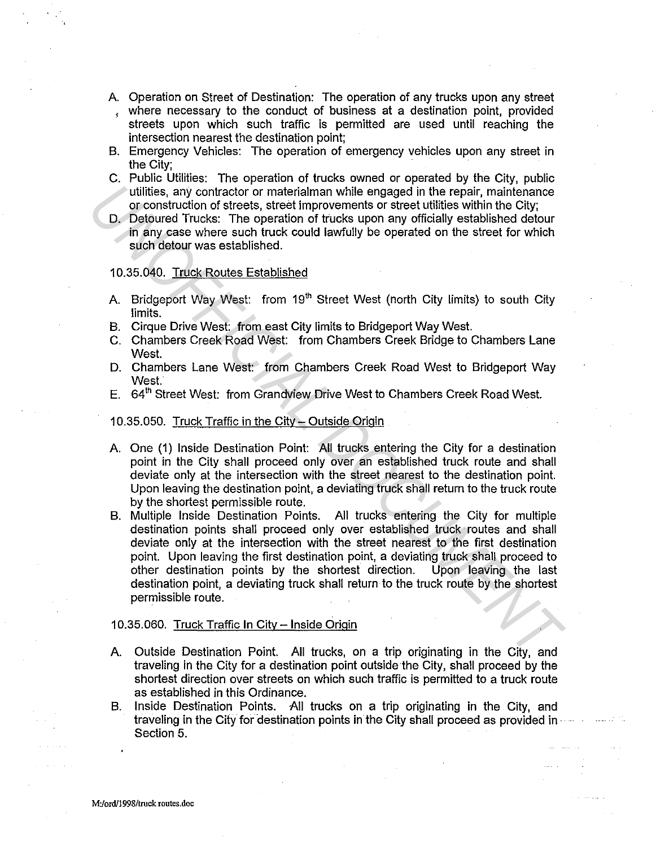- A. Operation on Street of Destination: The operation of any trucks upon any street
- , where necessary to the conduct of business at a destination point, provided streets upon which such traffic is permitted are used until reaching the intersection nearest the destination point;
- B. Emergency Vehicles: The operation of emergency vehicles upon any street in the City;
- C. Public Utilities: The operation of trucks owned or operated by the City, public utilities, any contractor or materialman while engaged in the repair, maintenance or construction of streets, street improvements or street utilities within the City;
- D. Detoured Trucks: The operation of trucks upon any officially established detour in any case where such truck could lawfully be operated on the street for which such detour was established.

#### 10.35.040. Truck Routes Established

- A. Bridgeport Way West: from 19<sup>th</sup> Street West (north City limits) to south City limits.
- B. Cirque Drive West: from east City limits to Bridgeport Way West.
- C. Chambers Creek Road West: from Chambers Creek Bridge to Chambers Lane West.
- D. Chambers Lane West: from Chambers Creek Road West to Bridgeport Way West.
- E. 64<sup>th</sup> Street West: from Grandview Drive West to Chambers Creek Road West.

#### 10.35.050. Truck Traffic in the City - Outside Origin

- A. One (1) Inside Destination Point: All trucks entering the City for a destination point in the City shall proceed only over an established truck route and shall deviate only at the intersection with the street nearest to the destination point. Upon leaving the destination point, a deviating truck shall return to the truck route by the shortest permissible route.
- B. Multiple Inside Destination Points. All trucks entering the City for multiple destination points shall proceed only over established truck routes and shall deviate only at the intersection with the street nearest to the first destination point. Upon leaving the first destination point, a deviating truck shall proceed to other destination points by the shortest direction. Upon leaving the last destination point, a deviating truck shall return to the truck route by the shortest permissible route. Fulfillies, any contraction of materialman while engaged in the repair, maintenance was construction of streets improvements or street utilities within the City.<br>
D. Detoured Trucks: The operation of trucks upon any offici

#### 10.35.060. Truck Traffic In City- Inside Origin

- A. Outside Destination Point. All trucks, on a trip originating in the City, and traveling in the City for a destination point outside the City, shall proceed by the shortest direction over streets on which such traffic is permitted to a truck route as established in this Ordinance.
- B. Inside Destination Points. All trucks on a trip originating in the City, and traveling in the City for destination points in the City shall proceed as provided in · Section 5.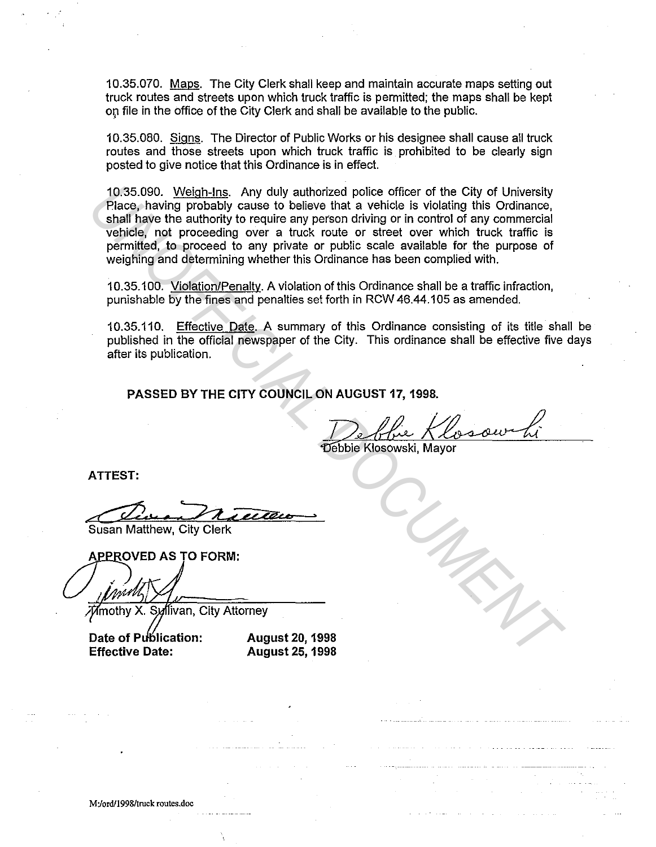10.35.070. Maps. The City Clerk shall keep and maintain accurate maps setting out truck routes and streets upon which truck traffic is permitted; the maps shall be kept op file in the office of the City Clerk and shall be available to the public.

10.35.080. Signs. The Director of Public Works or his designee shall cause all truck routes and those streets upon which truck traffic is prohibited to be clearly sign posted to give notice that this Ordinance is in effect.

10.35.090. Weigh-Ins. Any duly authorized police officer of the City of University Place, having probably cause to believe that a vehicle is violating this Ordinance, shall have the authority to require any person driving or in control of any commercial vehicle, not proceeding over a truck route or street over which truck traffic is permitted, to proceed to any private or public scale available for the purpose of weighing and determining whether this Ordinance has been complied with. 10.35.090. Weigh-Ins. Any duly authorized ploice office of the City of University<br>Place, having probably cause to believe that a vehicle is violating this ordinance,<br>shall have the authority to require any person driving o

10.35.100. Violation/Penalty. A violation of this Ordinance shall be a traffic infraction, punishable by the fines and penalties set forth in RCW 46.44.105 as amended.

10.35.110. Effective Date. A summary of this Ordinance consisting of its title shall be published in the official newspaper of the City. This ordinance shall be effective five days after its publication.

**PASSED BY THE CITY COUNCIL ON AUGUST 17, 1998.** 

Debbie Klosowski, Mayor

**ATTEST:** 

Susan Matthew, City Clerk

Date of Publication: **Effective Date:** 

**August 20, 1998 August 25, 1998**